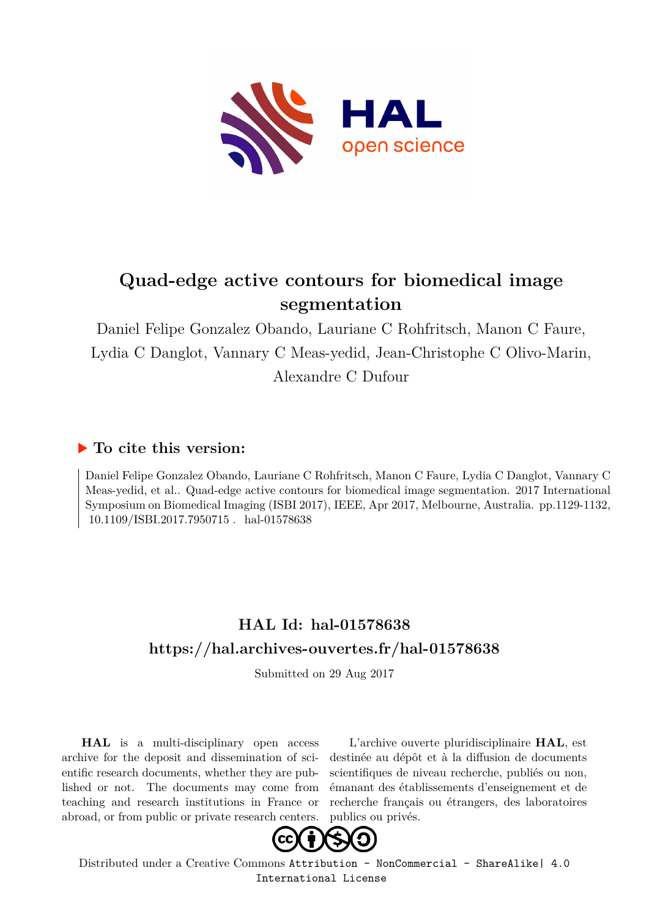

# **Quad-edge active contours for biomedical image segmentation**

Daniel Felipe Gonzalez Obando, Lauriane C Rohfritsch, Manon C Faure, Lydia C Danglot, Vannary C Meas-yedid, Jean-Christophe C Olivo-Marin, Alexandre C Dufour

### **To cite this version:**

Daniel Felipe Gonzalez Obando, Lauriane C Rohfritsch, Manon C Faure, Lydia C Danglot, Vannary C Meas-yedid, et al.. Quad-edge active contours for biomedical image segmentation. 2017 International Symposium on Biomedical Imaging (ISBI 2017), IEEE, Apr 2017, Melbourne, Australia. pp.1129-1132, 10.1109/ISBI.2017.7950715 . hal-01578638

## **HAL Id: hal-01578638 <https://hal.archives-ouvertes.fr/hal-01578638>**

Submitted on 29 Aug 2017

**HAL** is a multi-disciplinary open access archive for the deposit and dissemination of scientific research documents, whether they are published or not. The documents may come from teaching and research institutions in France or abroad, or from public or private research centers.

L'archive ouverte pluridisciplinaire **HAL**, est destinée au dépôt et à la diffusion de documents scientifiques de niveau recherche, publiés ou non, émanant des établissements d'enseignement et de recherche français ou étrangers, des laboratoires publics ou privés.



Distributed under a Creative Commons [Attribution - NonCommercial - ShareAlike| 4.0](http://creativecommons.org/licenses/by-nc-sa/4.0/) [International License](http://creativecommons.org/licenses/by-nc-sa/4.0/)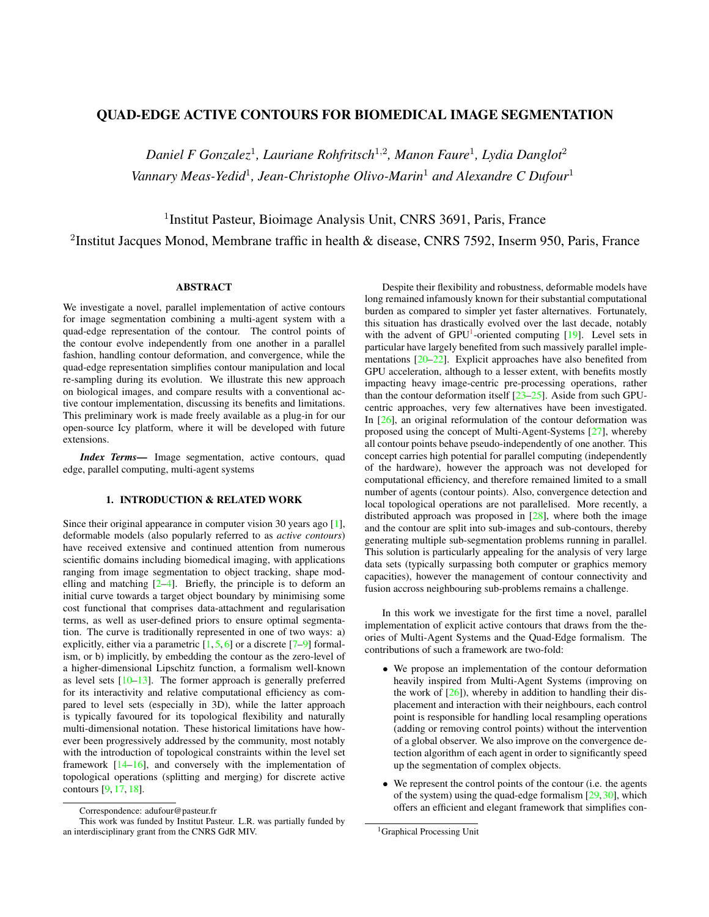### **QUAD-EDGE ACTIVE CONTOURS FOR BIOMEDICAL IMAGE SEGMENTATION**

Daniel F Gonzalez<sup>1</sup>, Lauriane Rohfritsch<sup>1,2</sup>, Manon Faure<sup>1</sup>, Lydia Danglot<sup>2</sup> Vannary Meas-Yedid<sup>1</sup>, Jean-Christophe Olivo-Marin<sup>1</sup> and Alexandre C Dufour<sup>1</sup>

<sup>1</sup>Institut Pasteur, Bioimage Analysis Unit, CNRS 3691, Paris, France <sup>2</sup>Institut Jacques Monod, Membrane traffic in health & disease, CNRS 7592, Inserm 950, Paris, France

#### **ABSTRACT**

We investigate a novel, parallel implementation of active contours for image segmentation combining a multi-agent system with a quad-edge representation of the contour. The control points of the contour evolve independently from one another in a parallel fashion, handling contour deformation, and convergence, while the quad-edge representation simplifies contour manipulation and local re-sampling during its evolution. We illustrate this new approach on biological images, and compare results with a conventional active contour implementation, discussing its benefits and limitations. This preliminary work is made freely available as a plug-in for our open-source Icy platform, where it will be developed with future extensions.

Index Terms- Image segmentation, active contours, quad edge, parallel computing, multi-agent systems

#### 1. INTRODUCTION & RELATED WORK

Since their original appearance in computer vision 30 years ago  $[1]$ , deformable models (also popularly referred to as *active contours*) have received extensive and continued attention from numerous scientific domains including biomedical imaging, with applications ranging from image segmentation to object tracking, shape modelling and matching  $[2-4]$ . Briefly, the principle is to deform an initial curve towards a target object boundary by minimising some cost functional that comprises data-attachment and regularisation terms, as well as user-defined priors to ensure optimal segmentation. The curve is traditionally represented in one of two ways: a) explicitly, either via a parametric  $[1, 5, 6]$  or a discrete  $[7-9]$  formalism, or b) implicitly, by embedding the contour as the zero-level of a higher-dimensional Lipschitz function, a formalism well-known as level sets  $[10-13]$ . The former approach is generally preferred for its interactivity and relative computational efficiency as compared to level sets (especially in 3D), while the latter approach is typically favoured for its topological flexibility and naturally multi-dimensional notation. These historical limitations have however been progressively addressed by the community, most notably with the introduction of topological constraints within the level set framework  $[14-16]$ , and conversely with the implementation of topological operations (splitting and merging) for discrete active contours [9, 17, 18].

Despite their flexibility and robustness, deformable models have long remained infamously known for their substantial computational burden as compared to simpler yet faster alternatives. Fortunately, this situation has drastically evolved over the last decade, notably with the advent of  $GPU<sup>1</sup>$ -oriented computing [19]. Level sets in particular have largely benefited from such massively parallel implementations  $[20-22]$ . Explicit approaches have also benefited from GPU acceleration, although to a lesser extent, with benefits mostly impacting heavy image-centric pre-processing operations, rather than the contour deformation itself  $[23-25]$ . Aside from such GPUcentric approaches, very few alternatives have been investigated. In  $[26]$ , an original reformulation of the contour deformation was proposed using the concept of Multi-Agent-Systems [27], whereby all contour points behave pseudo-independently of one another. This concept carries high potential for parallel computing (independently of the hardware), however the approach was not developed for computational efficiency, and therefore remained limited to a small number of agents (contour points). Also, convergence detection and local topological operations are not parallelised. More recently, a distributed approach was proposed in  $[28]$ , where both the image and the contour are split into sub-images and sub-contours, thereby generating multiple sub-segmentation problems running in parallel. This solution is particularly appealing for the analysis of very large data sets (typically surpassing both computer or graphics memory capacities), however the management of contour connectivity and fusion accross neighbouring sub-problems remains a challenge.

In this work we investigate for the first time a novel, parallel implementation of explicit active contours that draws from the theories of Multi-Agent Systems and the Quad-Edge formalism. The contributions of such a framework are two-fold:

- We propose an implementation of the contour deformation heavily inspired from Multi-Agent Systems (improving on the work of  $[26]$ ), whereby in addition to handling their displacement and interaction with their neighbours, each control point is responsible for handling local resampling operations (adding or removing control points) without the intervention of a global observer. We also improve on the convergence detection algorithm of each agent in order to significantly speed up the segmentation of complex objects.
- We represent the control points of the contour (i.e. the agents of the system) using the quad-edge formalism  $[29, 30]$ , which offers an efficient and elegant framework that simplifies con-

Correspondence: adufour@pasteur.fr

This work was funded by Institut Pasteur. L.R. was partially funded by an interdisciplinary grant from the CNRS GdR MIV.

<sup>&</sup>lt;sup>1</sup>Graphical Processing Unit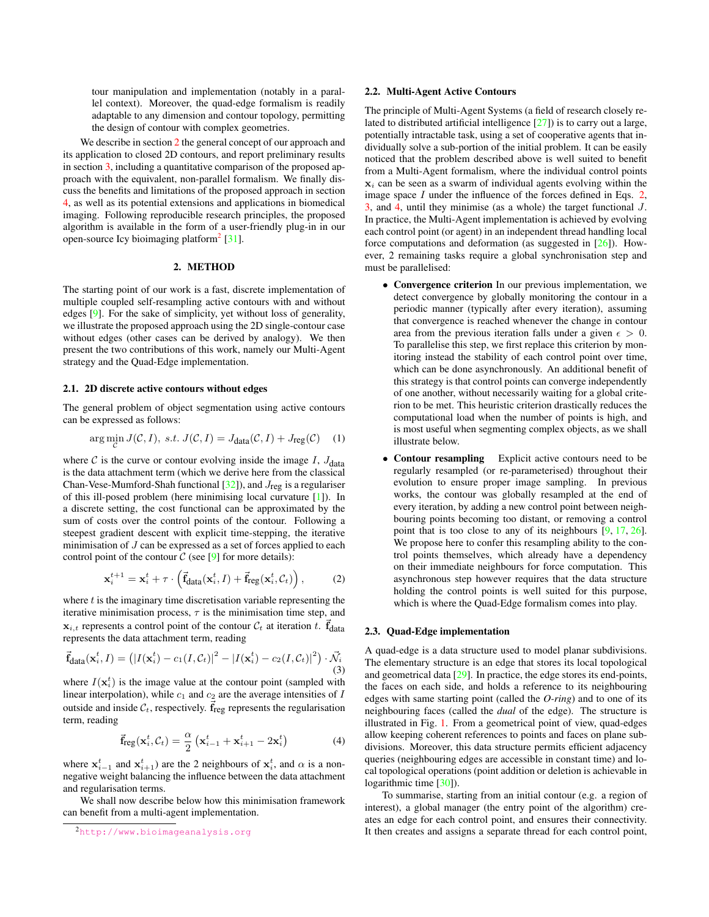tour manipulation and implementation (notably in a parallel context). Moreover, the quad-edge formalism is readily adaptable to any dimension and contour topology, permitting the design of contour with complex geometries.

We describe in section 2 the general concept of our approach and its application to closed 2D contours, and report preliminary results in section  $3$ , including a quantitative comparison of the proposed approach with the equivalent, non-parallel formalism. We finally discuss the benefits and limitations of the proposed approach in section 4, as well as its potential extensions and applications in biomedical imaging. Following reproducible research principles, the proposed algorithm is available in the form of a user-friendly plug-in in our open-source Icy bioimaging platform<sup>2</sup> [31].

#### 2. METHOD

The starting point of our work is a fast, discrete implementation of multiple coupled self-resampling active contours with and without edges  $[9]$ . For the sake of simplicity, yet without loss of generality, we illustrate the proposed approach using the 2D single-contour case without edges (other cases can be derived by analogy). We then present the two contributions of this work, namely our Multi-Agent strategy and the Quad-Edge implementation.

#### 2.1. 2D discrete active contours without edges

The general problem of object segmentation using active contours can be expressed as follows:

$$
\arg\min_{J} J(C, I), \ s.t. \ J(C, I) = J_{\text{data}}(C, I) + J_{\text{reg}}(C) \tag{1}
$$

where C is the curve or contour evolving inside the image I,  $J_{\text{data}}$ is the data attachment term (which we derive here from the classical Chan-Vese-Mumford-Shah functional  $[32]$ ), and  $J_{reg}$  is a regulariser of this ill-posed problem (here minimising local curvature [1]). In a discrete setting, the cost functional can be approximated by the sum of costs over the control points of the contour. Following a steepest gradient descent with explicit time-stepping, the iterative minimisation of  $J$  can be expressed as a set of forces applied to each control point of the contour  $C$  (see [9] for more details):

$$
\mathbf{x}_{i}^{t+1} = \mathbf{x}_{i}^{t} + \tau \cdot \left( \vec{\mathbf{f}}_{\text{data}}(\mathbf{x}_{i}^{t}, I) + \vec{\mathbf{f}}_{\text{reg}}(\mathbf{x}_{i}^{t}, \mathcal{C}_{t}) \right), \tag{2}
$$

where  $t$  is the imaginary time discretisation variable representing the iterative minimisation process,  $\tau$  is the minimisation time step, and  $\mathbf{x}_{i,t}$  represents a control point of the contour  $\mathcal{C}_t$  at iteration t.  $\vec{f}_{data}$ represents the data attachment term, reading

$$
\vec{\mathbf{f}}_{\text{data}}(\mathbf{x}_i^t, I) = (|I(\mathbf{x}_i^t) - c_1(I, \mathcal{C}_t)|^2 - |I(\mathbf{x}_i^t) - c_2(I, \mathcal{C}_t)|^2) \cdot \vec{\mathcal{N}}_i
$$
\n(3)

where  $I(\mathbf{x}_i^t)$  is the image value at the contour point (sampled with linear interpolation), while  $c_1$  and  $c_2$  are the average intensities of  $I$ outside and inside  $\mathcal{C}_t$ , respectively.  $\vec{f}_{reg}$  represents the regularisation term, reading

$$
\vec{\mathbf{f}}_{\text{reg}}(\mathbf{x}_i^t, \mathcal{C}_t) = \frac{\alpha}{2} \left( \mathbf{x}_{i-1}^t + \mathbf{x}_{i+1}^t - 2\mathbf{x}_i^t \right) \tag{4}
$$

where  $x_{i-1}^t$  and  $x_{i+1}^t$ ) are the 2 neighbours of  $x_i^t$ , and  $\alpha$  is a nonnegative weight balancing the influence between the data attachment and regularisation terms.

We shall now describe below how this minimisation framework can benefit from a multi-agent implementation.

#### 2.2. Multi-Agent Active Contours

The principle of Multi-Agent Systems (a field of research closely related to distributed artificial intelligence  $[27]$ ) is to carry out a large, potentially intractable task, using a set of cooperative agents that individually solve a sub-portion of the initial problem. It can be easily noticed that the problem described above is well suited to benefit from a Multi-Agent formalism, where the individual control points  $x_i$  can be seen as a swarm of individual agents evolving within the image space  $I$  under the influence of the forces defined in Eqs. 2, 3, and 4, until they minimise (as a whole) the target functional  $J$ . In practice, the Multi-Agent implementation is achieved by evolving each control point (or agent) in an independent thread handling local force computations and deformation (as suggested in  $[26]$ ). However, 2 remaining tasks require a global synchronisation step and must be parallelised:

- Convergence criterion In our previous implementation, we detect convergence by globally monitoring the contour in a periodic manner (typically after every iteration), assuming that convergence is reached whenever the change in contour area from the previous iteration falls under a given  $\epsilon > 0$ . To parallelise this step, we first replace this criterion by monitoring instead the stability of each control point over time, which can be done asynchronously. An additional benefit of this strategy is that control points can converge independently of one another, without necessarily waiting for a global criterion to be met. This heuristic criterion drastically reduces the computational load when the number of points is high, and is most useful when segmenting complex objects, as we shall illustrate below.
- Contour resampling Explicit active contours need to be regularly resampled (or re-parameterised) throughout their evolution to ensure proper image sampling. In previous works, the contour was globally resampled at the end of every iteration, by adding a new control point between neighbouring points becoming too distant, or removing a control point that is too close to any of its neighbours  $[9, 17, 26]$ . We propose here to confer this resampling ability to the control points themselves, which already have a dependency on their immediate neighbours for force computation. This asynchronous step however requires that the data structure holding the control points is well suited for this purpose, which is where the Quad-Edge formalism comes into play.

#### 2.3. Quad-Edge implementation

A quad-edge is a data structure used to model planar subdivisions. The elementary structure is an edge that stores its local topological and geometrical data  $[29]$ . In practice, the edge stores its end-points, the faces on each side, and holds a reference to its neighbouring edges with same starting point (called the  $O\text{-ring}$ ) and to one of its neighbouring faces (called the *dual* of the edge). The structure is illustrated in Fig. 1. From a geometrical point of view, quad-edges allow keeping coherent references to points and faces on plane subdivisions. Moreover, this data structure permits efficient adjacency queries (neighbouring edges are accessible in constant time) and local topological operations (point addition or deletion is achievable in logarithmic time  $[30]$ ).

To summarise, starting from an initial contour (e.g. a region of interest), a global manager (the entry point of the algorithm) creates an edge for each control point, and ensures their connectivity. It then creates and assigns a separate thread for each control point,

<sup>2</sup>http://www.bioimageanalysis.org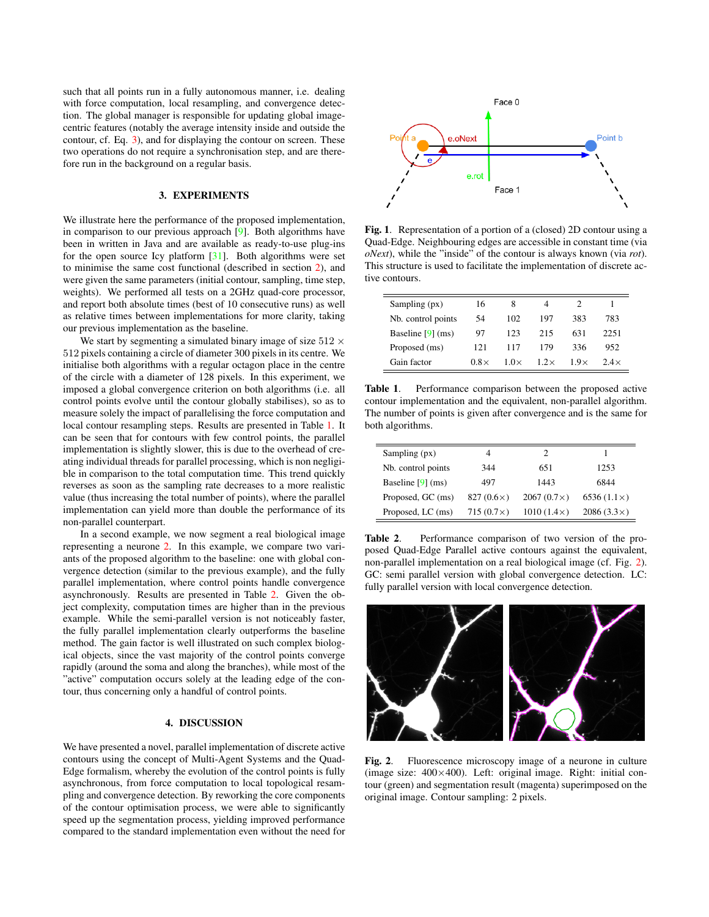such that all points run in a fully autonomous manner, i.e. dealing with force computation, local resampling, and convergence detection. The global manager is responsible for updating global imagecentric features (notably the average intensity inside and outside the contour, cf. Eq. 3), and for displaying the contour on screen. These two operations do not require a synchronisation step, and are therefore run in the background on a regular basis.

#### 3. EXPERIMENTS

We illustrate here the performance of the proposed implementation, in comparison to our previous approach  $[9]$ . Both algorithms have been in written in Java and are available as ready-to-use plug-ins for the open source Icy platform  $[31]$ . Both algorithms were set to minimise the same cost functional (described in section 2), and were given the same parameters (initial contour, sampling, time step, weights). We performed all tests on a 2GHz quad-core processor, and report both absolute times (best of 10 consecutive runs) as well as relative times between implementations for more clarity, taking our previous implementation as the baseline.

We start by segmenting a simulated binary image of size  $512 \times$ 512 pixels containing a circle of diameter 300 pixels in its centre. We initialise both algorithms with a regular octagon place in the centre of the circle with a diameter of 128 pixels. In this experiment, we imposed a global convergence criterion on both algorithms (i.e. all control points evolve until the contour globally stabilises), so as to measure solely the impact of parallelising the force computation and local contour resampling steps. Results are presented in Table 1. It can be seen that for contours with few control points, the parallel implementation is slightly slower, this is due to the overhead of creating individual threads for parallel processing, which is non negligible in comparison to the total computation time. This trend quickly reverses as soon as the sampling rate decreases to a more realistic value (thus increasing the total number of points), where the parallel implementation can yield more than double the performance of its non-parallel counterpart.

In a second example, we now segment a real biological image representing a neurone 2. In this example, we compare two variants of the proposed algorithm to the baseline: one with global convergence detection (similar to the previous example), and the fully parallel implementation, where control points handle convergence asynchronously. Results are presented in Table 2. Given the object complexity, computation times are higher than in the previous example. While the semi-parallel version is not noticeably faster, the fully parallel implementation clearly outperforms the baseline method. The gain factor is well illustrated on such complex biological objects, since the vast majority of the control points converge rapidly (around the soma and along the branches), while most of the "active" computation occurs solely at the leading edge of the contour, thus concerning only a handful of control points.

#### 4. DISCUSSION

We have presented a novel, parallel implementation of discrete active contours using the concept of Multi-Agent Systems and the Quad-Edge formalism, whereby the evolution of the control points is fully asynchronous, from force computation to local topological resampling and convergence detection. By reworking the core components of the contour optimisation process, we were able to significantly speed up the segmentation process, yielding improved performance compared to the standard implementation even without the need for



Fig. 1. Representation of a portion of a (closed) 2D contour using a Quad-Edge. Neighbouring edges are accessible in constant time (via  $oNext$ ), while the "inside" of the contour is always known (via *rot*). This structure is used to facilitate the implementation of discrete active contours.

| Sampling (px)       | 16          | 8           | 4           |             |             |
|---------------------|-------------|-------------|-------------|-------------|-------------|
| Nb. control points  | 54          | 102         | 197         | 383         | 783         |
| Baseline $[9]$ (ms) | 97          | 123         | 215         | 631         | 2251        |
| Proposed (ms)       | 121         | 117         | 179         | 336         | 952         |
| Gain factor         | $0.8\times$ | $1.0\times$ | $1.2\times$ | $1.9\times$ | $2.4\times$ |

Table 1. Performance comparison between the proposed active contour implementation and the equivalent, non-parallel algorithm. The number of points is given after convergence and is the same for both algorithms.

| Sampling $(px)$     | 4                 |                   |                    |
|---------------------|-------------------|-------------------|--------------------|
| Nb. control points  | 344               | 651               | 1253               |
| Baseline $[9]$ (ms) | 497               | 1443              | 6844               |
| Proposed, GC (ms)   | 827 $(0.6\times)$ | $2067(0.7\times)$ | 6536 $(1.1\times)$ |
| Proposed, LC (ms)   | 715 $(0.7\times)$ | $1010(1.4\times)$ | $2086(3.3\times)$  |

Table 2. Performance comparison of two version of the proposed Quad-Edge Parallel active contours against the equivalent, non-parallel implementation on a real biological image (cf. Fig. 2). GC: semi parallel version with global convergence detection. LC: fully parallel version with local convergence detection.



Fig. 2. Fluorescence microscopy image of a neurone in culture (image size:  $400 \times 400$ ). Left: original image. Right: initial contour (green) and segmentation result (magenta) superimposed on the original image. Contour sampling: 2 pixels.